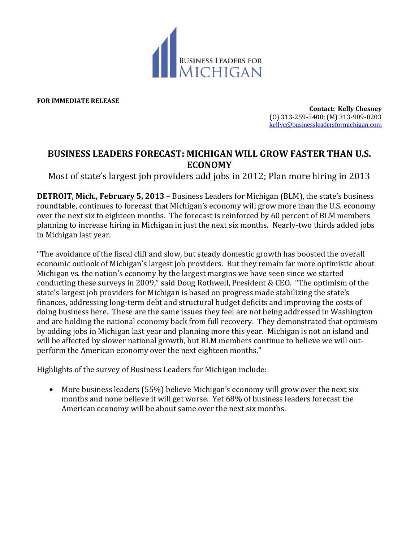

**FOR IMMEDIATE RELEASE**

**Contact: Kelly Chesney** (O) 313-259-5400; (M) 313-909-8203 [kellyc@businessleadersformichigan.com](mailto:kellyc@businessleadersformichigan.com)

## **BUSINESS LEADERS FORECAST: MICHIGAN WILL GROW FASTER THAN U.S. ECONOMY**

Most of state's largest job providers add jobs in 2012; Plan more hiring in 2013

**DETROIT, Mich., February 5, 2013** – Business Leaders for Michigan (BLM), the state's business roundtable, continues to forecast that Michigan's economy will grow more than the U.S. economy over the next six to eighteen months. The forecast is reinforced by 60 percent of BLM members planning to increase hiring in Michigan in just the next six months. Nearly-two thirds added jobs in Michigan last year.

"The avoidance of the fiscal cliff and slow, but steady domestic growth has boosted the overall economic outlook of Michigan's largest job providers. But they remain far more optimistic about Michigan vs. the nation's economy by the largest margins we have seen since we started conducting these surveys in 2009," said Doug Rothwell, President & CEO. "The optimism of the state's largest job providers for Michigan is based on progress made stabilizing the state's finances, addressing long-term debt and structural budget deficits and improving the costs of doing business here. These are the same issues they feel are not being addressed in Washington and are holding the national economy back from full recovery. They demonstrated that optimism by adding jobs in Michigan last year and planning more this year. Michigan is not an island and will be affected by slower national growth, but BLM members continue to believe we will outperform the American economy over the next eighteen months."

Highlights of the survey of Business Leaders for Michigan include:

 More business leaders (55%) believe Michigan's economy will grow over the next six months and none believe it will get worse. Yet 68% of business leaders forecast the American economy will be about same over the next six months.